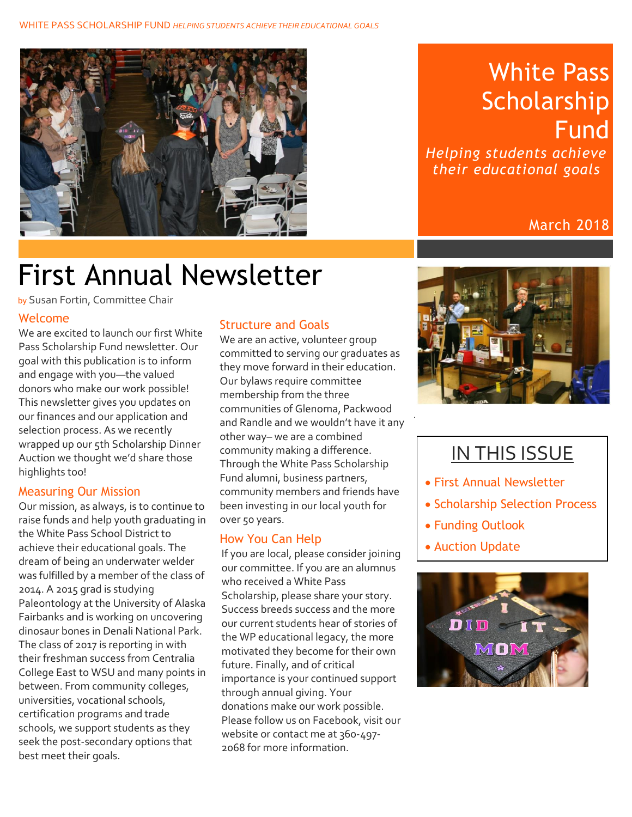

### White Pass Scholarship Fund

*Helping students achieve their educational goals*

#### March 2018

# First Annual Newsletter

by Susan Fortin, Committee Chair

#### Welcome

We are excited to launch our first White Pass Scholarship Fund newsletter. Our goal with this publication is to inform and engage with you—the valued donors who make our work possible! This newsletter gives you updates on our finances and our application and selection process. As we recently wrapped up our 5th Scholarship Dinner Auction we thought we'd share those highlights too!

#### Measuring Our Mission

Our mission, as always, is to continue to raise funds and help youth graduating in the White Pass School District to achieve their educational goals. The dream of being an underwater welder was fulfilled by a member of the class of 2014. A 2015 grad is studying Paleontology at the University of Alaska Fairbanks and is working on uncovering dinosaur bones in Denali National Park. The class of 2017 is reporting in with their freshman success from Centralia College East to WSU and many points in between. From community colleges, universities, vocational schools, certification programs and trade schools, we support students as they seek the post-secondary options that best meet their goals.

#### Structure and Goals

We are an active, volunteer group committed to serving our graduates as they move forward in their education. Our bylaws require committee membership from the three communities of Glenoma, Packwood and Randle and we wouldn't have it any other way– we are a combined community making a difference. Through the White Pass Scholarship Fund alumni, business partners, community members and friends have been investing in our local youth for over 50 years.

#### How You Can Help

If you are local, please consider joining our committee. If you are an alumnus who received a White Pass Scholarship, please share your story. Success breeds success and the more our current students hear of stories of the WP educational legacy, the more motivated they become for their own future. Finally, and of critical importance is your continued support through annual giving. Your donations make our work possible. Please follow us on Facebook, visit our website or contact me at 360-497-2068 for more information.



### IN THIS ISSUE

- First Annual Newsletter
- Scholarship Selection Process
- Funding Outlook
- Auction Update

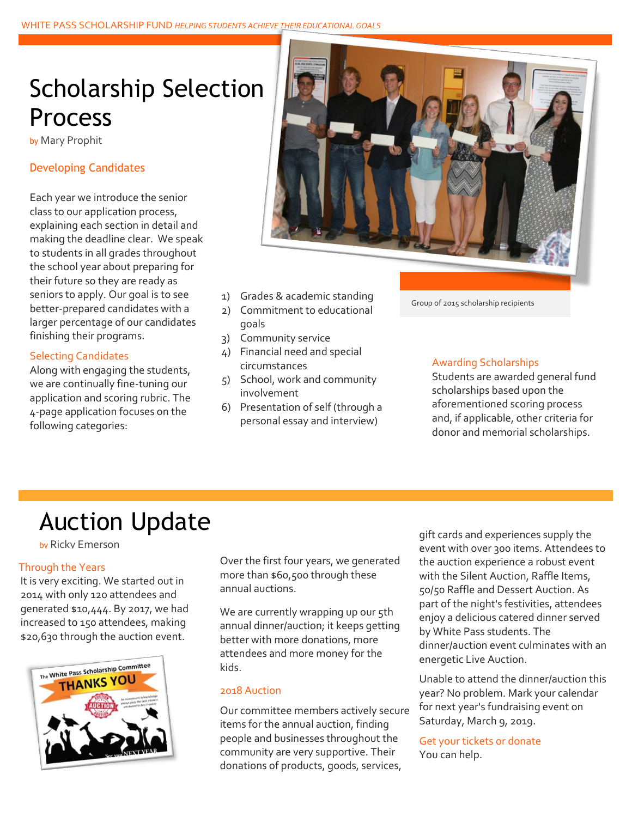## Scholarship Selection Process

by Mary Prophit

#### Developing Candidates

Each year we introduce the senior class to our application process, explaining each section in detail and making the deadline clear. We speak to students in all grades throughout the school year about preparing for their future so they are ready as seniors to apply. Our goal is to see better-prepared candidates with a larger percentage of our candidates finishing their programs.

#### Selecting Candidates

Along with engaging the students, we are continually fine-tuning our application and scoring rubric. The 4-page application focuses on the following categories:



- 1) Grades & academic standing
- 2) Commitment to educational goals
- 3) Community service
- 4) Financial need and special circumstances
- 5) School, work and community involvement
- 6) Presentation of self (through a personal essay and interview)

#### Group of 2015 scholarship recipients

#### Awarding Scholarships

Students are awarded general fund scholarships based upon the aforementioned scoring process and, if applicable, other criteria for donor and memorial scholarships.

### Auction Update

by Ricky Emerson

#### Through the Years

It is very exciting. We started out in 2014 with only 120 attendees and generated \$10,444. By 2017, we had increased to 150 attendees, making \$20,630 through the auction event.



Over the first four years, we generated more than \$60,500 through these annual auctions.

We are currently wrapping up our 5th annual dinner/auction; it keeps getting better with more donations, more attendees and more money for the kids.

#### 2018 Auction

Our committee members actively secure items for the annual auction, finding people and businesses throughout the community are very supportive. Their donations of products, goods, services,

gift cards and experiences supply the event with over 300 items. Attendees to the auction experience a robust event with the Silent Auction, Raffle Items, 50/50 Raffle and Dessert Auction. As part of the night's festivities, attendees enjoy a delicious catered dinner served by White Pass students. The dinner/auction event culminates with an energetic Live Auction.

Unable to attend the dinner/auction this year? No problem. Mark your calendar for next year's fundraising event on Saturday, March 9, 2019.

Get your tickets or donate You can help.